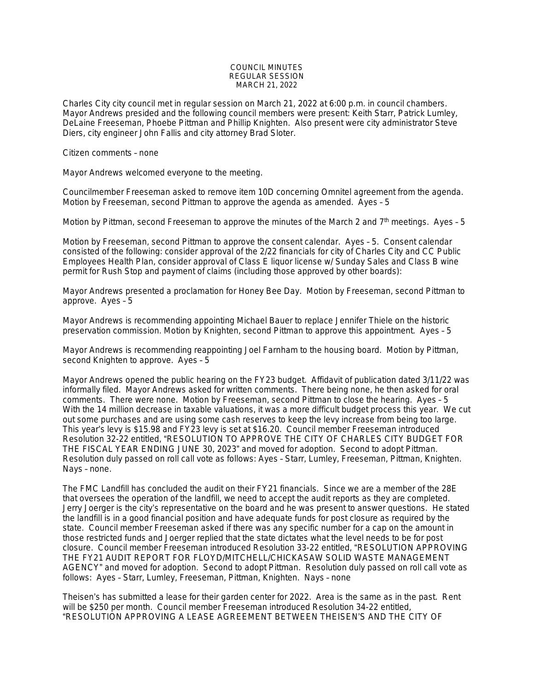## COUNCIL MINUTES REGULAR SESSION MARCH 21, 2022

Charles City city council met in regular session on March 21, 2022 at 6:00 p.m. in council chambers. Mayor Andrews presided and the following council members were present: Keith Starr, Patrick Lumley, DeLaine Freeseman, Phoebe Pittman and Phillip Knighten. Also present were city administrator Steve Diers, city engineer John Fallis and city attorney Brad Sloter.

## Citizen comments – none

Mayor Andrews welcomed everyone to the meeting.

Councilmember Freeseman asked to remove item 10D concerning Omnitel agreement from the agenda. Motion by Freeseman, second Pittman to approve the agenda as amended. Ayes – 5

Motion by Pittman, second Freeseman to approve the minutes of the March 2 and  $7<sup>th</sup>$  meetings. Ayes - 5

Motion by Freeseman, second Pittman to approve the consent calendar. Ayes – 5. Consent calendar consisted of the following: consider approval of the 2/22 financials for city of Charles City and CC Public Employees Health Plan, consider approval of Class E liquor license w/ Sunday Sales and Class B wine permit for Rush Stop and payment of claims (including those approved by other boards):

Mayor Andrews presented a proclamation for Honey Bee Day. Motion by Freeseman, second Pittman to approve. Ayes – 5

Mayor Andrews is recommending appointing Michael Bauer to replace Jennifer Thiele on the historic preservation commission. Motion by Knighten, second Pittman to approve this appointment. Ayes – 5

Mayor Andrews is recommending reappointing Joel Farnham to the housing board. Motion by Pittman, second Knighten to approve. Ayes – 5

Mayor Andrews opened the public hearing on the FY23 budget. Affidavit of publication dated 3/11/22 was informally filed. Mayor Andrews asked for written comments. There being none, he then asked for oral comments. There were none. Motion by Freeseman, second Pittman to close the hearing. Ayes – 5 With the 14 million decrease in taxable valuations, it was a more difficult budget process this year. We cut out some purchases and are using some cash reserves to keep the levy increase from being too large. This year's levy is \$15.98 and FY23 levy is set at \$16.20. Council member Freeseman introduced Resolution 32-22 entitled, "RESOLUTION TO APPROVE THE CITY OF CHARLES CITY BUDGET FOR THE FISCAL YEAR ENDING JUNE 30, 2023" and moved for adoption. Second to adopt Pittman. Resolution duly passed on roll call vote as follows: Ayes – Starr, Lumley, Freeseman, Pittman, Knighten. Nays – none.

The FMC Landfill has concluded the audit on their FY21 financials. Since we are a member of the 28E that oversees the operation of the landfill, we need to accept the audit reports as they are completed. Jerry Joerger is the city's representative on the board and he was present to answer questions. He stated the landfill is in a good financial position and have adequate funds for post closure as required by the state. Council member Freeseman asked if there was any specific number for a cap on the amount in those restricted funds and Joerger replied that the state dictates what the level needs to be for post closure. Council member Freeseman introduced Resolution 33-22 entitled, "RESOLUTION APPROVING THE FY21 AUDIT REPORT FOR FLOYD/MITCHELL/CHICKASAW SOLID WASTE MANAGEMENT AGENCY" and moved for adoption. Second to adopt Pittman. Resolution duly passed on roll call vote as follows: Ayes – Starr, Lumley, Freeseman, Pittman, Knighten. Nays – none

Theisen's has submitted a lease for their garden center for 2022. Area is the same as in the past. Rent will be \$250 per month. Council member Freeseman introduced Resolution 34-22 entitled, "RESOLUTION APPROVING A LEASE AGREEMENT BETWEEN THEISEN'S AND THE CITY OF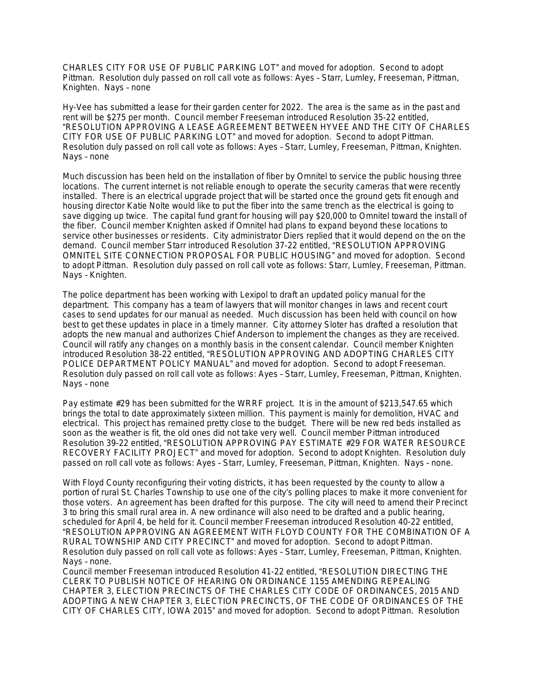CHARLES CITY FOR USE OF PUBLIC PARKING LOT" and moved for adoption. Second to adopt Pittman. Resolution duly passed on roll call vote as follows: Ayes – Starr, Lumley, Freeseman, Pittman, Knighten. Nays – none

Hy-Vee has submitted a lease for their garden center for 2022. The area is the same as in the past and rent will be \$275 per month. Council member Freeseman introduced Resolution 35-22 entitled, "RESOLUTION APPROVING A LEASE AGREEMENT BETWEEN HYVEE AND THE CITY OF CHARLES CITY FOR USE OF PUBLIC PARKING LOT" and moved for adoption. Second to adopt Pittman. Resolution duly passed on roll call vote as follows: Ayes – Starr, Lumley, Freeseman, Pittman, Knighten. Nays – none

Much discussion has been held on the installation of fiber by Omnitel to service the public housing three locations. The current internet is not reliable enough to operate the security cameras that were recently installed. There is an electrical upgrade project that will be started once the ground gets fit enough and housing director Katie Nolte would like to put the fiber into the same trench as the electrical is going to save digging up twice. The capital fund grant for housing will pay \$20,000 to Omnitel toward the install of the fiber. Council member Knighten asked if Omnitel had plans to expand beyond these locations to service other businesses or residents. City administrator Diers replied that it would depend on the on the demand. Council member Starr introduced Resolution 37-22 entitled, "RESOLUTION APPROVING OMNITEL SITE CONNECTION PROPOSAL FOR PUBLIC HOUSING" and moved for adoption. Second to adopt Pittman. Resolution duly passed on roll call vote as follows: Starr, Lumley, Freeseman, Pittman. Nays – Knighten.

The police department has been working with Lexipol to draft an updated policy manual for the department. This company has a team of lawyers that will monitor changes in laws and recent court cases to send updates for our manual as needed. Much discussion has been held with council on how best to get these updates in place in a timely manner. City attorney Sloter has drafted a resolution that adopts the new manual and authorizes Chief Anderson to implement the changes as they are received. Council will ratify any changes on a monthly basis in the consent calendar. Council member Knighten introduced Resolution 38-22 entitled, "RESOLUTION APPROVING AND ADOPTING CHARLES CITY POLICE DEPARTMENT POLICY MANUAL" and moved for adoption. Second to adopt Freeseman. Resolution duly passed on roll call vote as follows: Ayes – Starr, Lumley, Freeseman, Pittman, Knighten. Nays – none

Pay estimate #29 has been submitted for the WRRF project. It is in the amount of \$213,547.65 which brings the total to date approximately sixteen million. This payment is mainly for demolition, HVAC and electrical. This project has remained pretty close to the budget. There will be new red beds installed as soon as the weather is fit, the old ones did not take very well. Council member Pittman introduced Resolution 39-22 entitled, "RESOLUTION APPROVING PAY ESTIMATE #29 FOR WATER RESOURCE RECOVERY FACILITY PROJECT" and moved for adoption. Second to adopt Knighten. Resolution duly passed on roll call vote as follows: Ayes – Starr, Lumley, Freeseman, Pittman, Knighten. Nays – none.

With Floyd County reconfiguring their voting districts, it has been requested by the county to allow a portion of rural St. Charles Township to use one of the city's polling places to make it more convenient for those voters. An agreement has been drafted for this purpose. The city will need to amend their Precinct 3 to bring this small rural area in. A new ordinance will also need to be drafted and a public hearing, scheduled for April 4, be held for it. Council member Freeseman introduced Resolution 40-22 entitled, "RESOLUTION APPROVING AN AGREEMENT WITH FLOYD COUNTY FOR THE COMBINATION OF A RURAL TOWNSHIP AND CITY PRECINCT" and moved for adoption. Second to adopt Pittman. Resolution duly passed on roll call vote as follows: Ayes – Starr, Lumley, Freeseman, Pittman, Knighten. Nays – none.

Council member Freeseman introduced Resolution 41-22 entitled, "RESOLUTION DIRECTING THE CLERK TO PUBLISH NOTICE OF HEARING ON ORDINANCE 1155 AMENDING REPEALING CHAPTER 3, ELECTION PRECINCTS OF THE CHARLES CITY CODE OF ORDINANCES, 2015 AND ADOPTING A NEW CHAPTER 3, ELECTION PRECINCTS, OF THE CODE OF ORDINANCES OF THE CITY OF CHARLES CITY, IOWA 2015" and moved for adoption. Second to adopt Pittman. Resolution